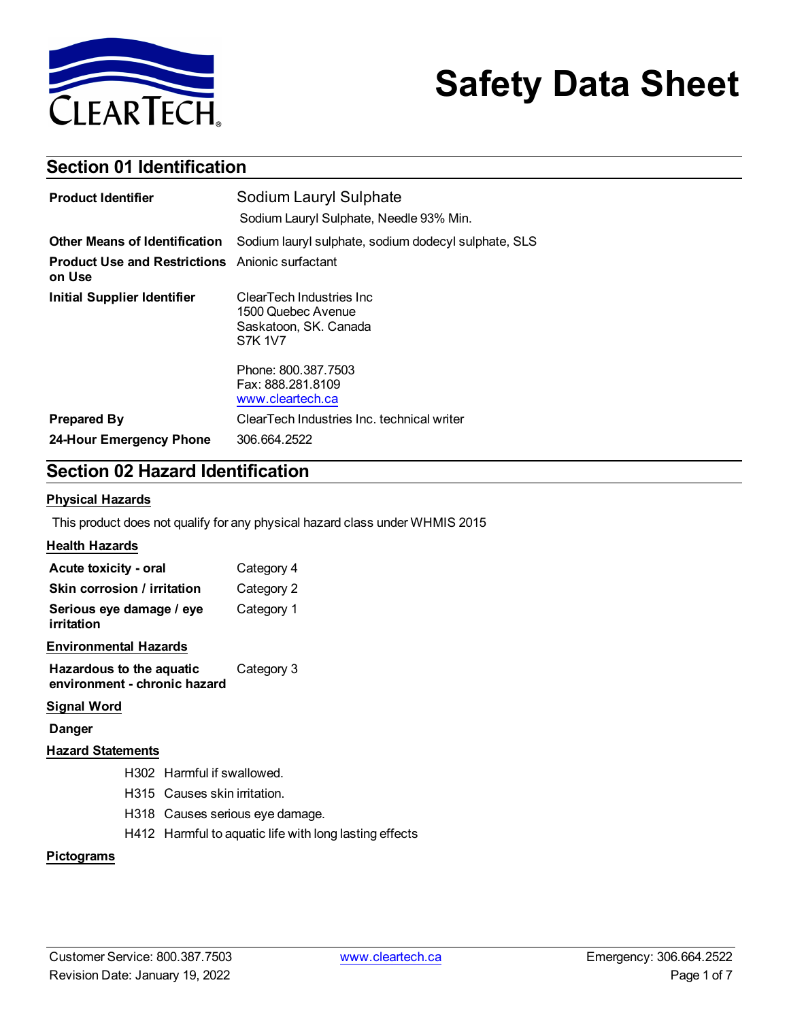

# **Safety Data Sheet**

### **Section 01 Identification**

| <b>Product Identifier</b>                                        | Sodium Lauryl Sulphate                                                                     |
|------------------------------------------------------------------|--------------------------------------------------------------------------------------------|
|                                                                  | Sodium Lauryl Sulphate, Needle 93% Min.                                                    |
| <b>Other Means of Identification</b>                             | Sodium lauryl sulphate, sodium dodecyl sulphate, SLS                                       |
| <b>Product Use and Restrictions</b> Anionic surfactant<br>on Use |                                                                                            |
| <b>Initial Supplier Identifier</b>                               | ClearTech Industries Inc.<br>1500 Quebec Avenue<br>Saskatoon, SK. Canada<br><b>S7K 1V7</b> |
|                                                                  | Phone: 800.387.7503<br>Fax: 888.281.8109<br>www.cleartech.ca                               |
| <b>Prepared By</b>                                               | ClearTech Industries Inc. technical writer                                                 |
| 24-Hour Emergency Phone                                          | 306.664.2522                                                                               |

### **Section 02 Hazard Identification**

#### **Physical Hazards**

This product does not qualify for any physical hazard class under WHMIS 2015

### **Health Hazards**

| Acute toxicity - oral                                    | Category 4 |
|----------------------------------------------------------|------------|
| Skin corrosion / irritation                              | Category 2 |
| Serious eye damage / eye<br>irritation                   | Category 1 |
| <b>Environmental Hazards</b>                             |            |
| Hazardous to the aquatic<br>environment - chronic hazard | Category 3 |
| <b>0:  . LIM</b>                                         |            |

#### **Signal Word**

**Danger**

### **Hazard Statements**

- H302 Harmful if swallowed.
- H315 Causes skin irritation.
- H318 Causes serious eye damage.
- H412 Harmful to aquatic life with long lasting effects

### **Pictograms**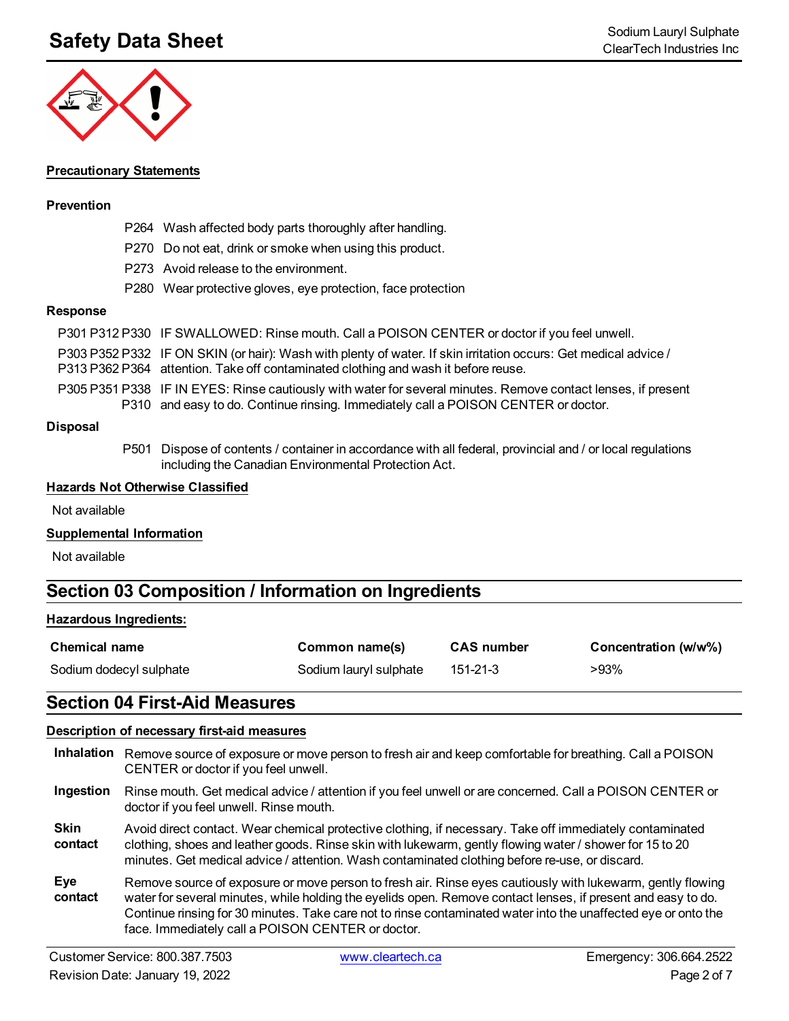

#### **Precautionary Statements**

### **Prevention**

- P264 Wash affected body parts thoroughly after handling.
- P270 Do not eat, drink or smoke when using this product.
- P273 Avoid release to the environment.
- P280 Wear protective gloves, eye protection, face protection

#### **Response**

- P303 P352 P332 IF ON SKIN (or hair): Wash with plenty of water. If skin irritation occurs: Get medical advice /
- P313 P362 P364 attention. Take off contaminated clothing and wash it before reuse.
- P305 P351 P338 IF IN EYES: Rinse cautiously with water for several minutes. Remove contact lenses, if present P310 and easy to do. Continue rinsing. Immediately call a POISON CENTER or doctor.

#### **Disposal**

P501 Dispose of contents / container in accordance with all federal, provincial and / or local regulations including the Canadian Environmental Protection Act.

#### **Hazards Not Otherwise Classified**

Not available

### **Supplemental Information**

Not available

### **Section 03 Composition / Information on Ingredients**

#### **Hazardous Ingredients:**

| <b>Chemical name</b>    | Common name(s)         | <b>CAS number</b> | Concentration (w/w%) |
|-------------------------|------------------------|-------------------|----------------------|
| Sodium dodecyl sulphate | Sodium lauryl sulphate | 151-21-3          | >93%                 |

### **Section 04 First-Aid Measures**

### **Description of necessary first-aid measures**

|                        | Inhalation Remove source of exposure or move person to fresh air and keep comfortable for breathing. Call a POISON<br>CENTER or doctor if you feel unwell.                                                                                                                                                                                                                                        |
|------------------------|---------------------------------------------------------------------------------------------------------------------------------------------------------------------------------------------------------------------------------------------------------------------------------------------------------------------------------------------------------------------------------------------------|
| Ingestion              | Rinse mouth. Get medical advice / attention if you feel unwell or are concerned. Call a POISON CENTER or<br>doctor if you feel unwell. Rinse mouth.                                                                                                                                                                                                                                               |
| <b>Skin</b><br>contact | Avoid direct contact. Wear chemical protective clothing, if necessary. Take off immediately contaminated<br>clothing, shoes and leather goods. Rinse skin with lukewarm, gently flowing water / shower for 15 to 20<br>minutes. Get medical advice / attention. Wash contaminated clothing before re-use, or discard.                                                                             |
| Eye<br>contact         | Remove source of exposure or move person to fresh air. Rinse eyes cautiously with lukewarm, gently flowing<br>water for several minutes, while holding the eyelids open. Remove contact lenses, if present and easy to do.<br>Continue rinsing for 30 minutes. Take care not to rinse contaminated water into the unaffected eye or onto the<br>face. Immediately call a POISON CENTER or doctor. |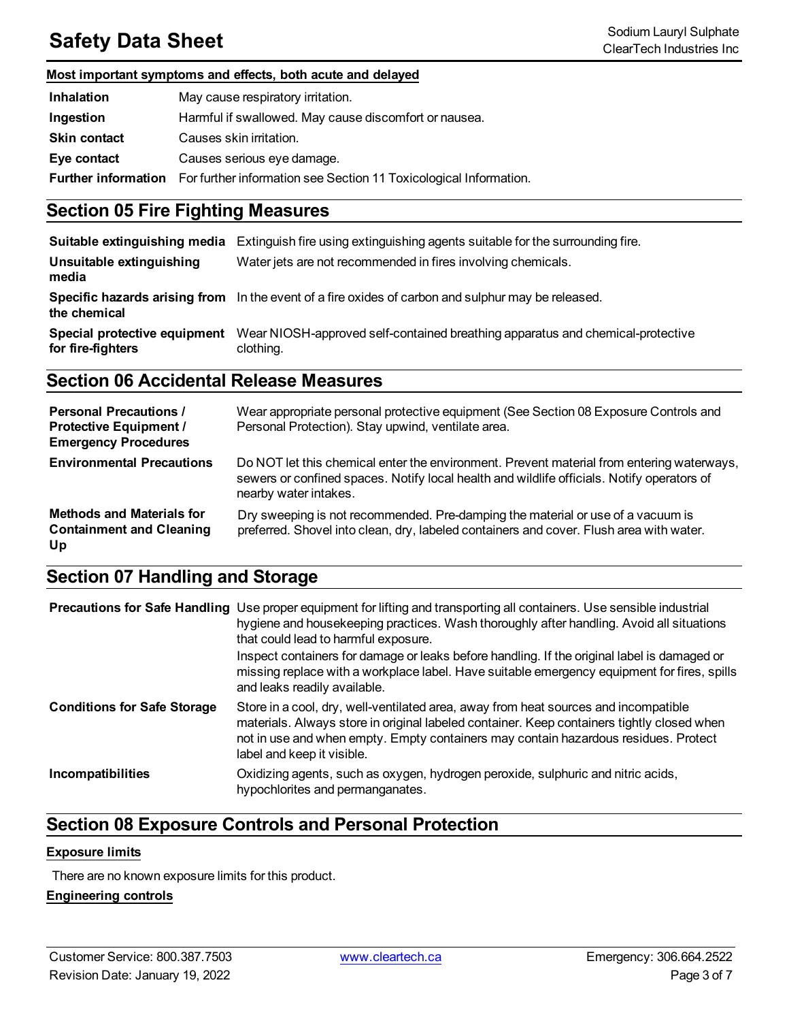## **Safety Data Sheet** Sodium Lauryl Sulphate<br>ClearTech Industries Inc.

### **Most important symptoms and effects, both acute and delayed**

| <b>Inhalation</b>          | May cause respiratory irritation.                                 |
|----------------------------|-------------------------------------------------------------------|
| Ingestion                  | Harmful if swallowed. May cause discomfort or nausea.             |
| <b>Skin contact</b>        | Causes skin irritation.                                           |
| Eye contact                | Causes serious eye damage.                                        |
| <b>Further information</b> | For further information see Section 11 Toxicological Information. |

### **Section 05 Fire Fighting Measures**

| Suitable extinguishing media                      | Extinguish fire using extinguishing agents suitable for the surrounding fire.                      |
|---------------------------------------------------|----------------------------------------------------------------------------------------------------|
| Unsuitable extinguishing<br>media                 | Water jets are not recommended in fires involving chemicals.                                       |
| the chemical                                      | Specific hazards arising from In the event of a fire oxides of carbon and sulphur may be released. |
| Special protective equipment<br>for fire-fighters | Wear NIOSH-approved self-contained breathing apparatus and chemical-protective<br>clothing.        |

### **Section 06 Accidental Release Measures**

| <b>Personal Precautions /</b><br><b>Protective Equipment /</b><br><b>Emergency Procedures</b> | Wear appropriate personal protective equipment (See Section 08 Exposure Controls and<br>Personal Protection). Stay upwind, ventilate area.                                                                       |
|-----------------------------------------------------------------------------------------------|------------------------------------------------------------------------------------------------------------------------------------------------------------------------------------------------------------------|
| <b>Environmental Precautions</b>                                                              | Do NOT let this chemical enter the environment. Prevent material from entering waterways,<br>sewers or confined spaces. Notify local health and wildlife officials. Notify operators of<br>nearby water intakes. |
| <b>Methods and Materials for</b><br><b>Containment and Cleaning</b><br>Up                     | Dry sweeping is not recommended. Pre-damping the material or use of a vacuum is<br>preferred. Shovel into clean, dry, labeled containers and cover. Flush area with water.                                       |

### **Section 07 Handling and Storage**

|                                    | <b>Precautions for Safe Handling</b> Use proper equipment for lifting and transporting all containers. Use sensible industrial<br>hygiene and housekeeping practices. Wash thoroughly after handling. Avoid all situations<br>that could lead to harmful exposure.<br>Inspect containers for damage or leaks before handling. If the original label is damaged or<br>missing replace with a workplace label. Have suitable emergency equipment for fires, spills<br>and leaks readily available. |
|------------------------------------|--------------------------------------------------------------------------------------------------------------------------------------------------------------------------------------------------------------------------------------------------------------------------------------------------------------------------------------------------------------------------------------------------------------------------------------------------------------------------------------------------|
| <b>Conditions for Safe Storage</b> | Store in a cool, dry, well-ventilated area, away from heat sources and incompatible<br>materials. Always store in original labeled container. Keep containers tightly closed when<br>not in use and when empty. Empty containers may contain hazardous residues. Protect<br>label and keep it visible.                                                                                                                                                                                           |
| <b>Incompatibilities</b>           | Oxidizing agents, such as oxygen, hydrogen peroxide, sulphuric and nitric acids,<br>hypochlorites and permanganates.                                                                                                                                                                                                                                                                                                                                                                             |

### **Section 08 Exposure Controls and Personal Protection**

### **Exposure limits**

There are no known exposure limits for this product.

### **Engineering controls**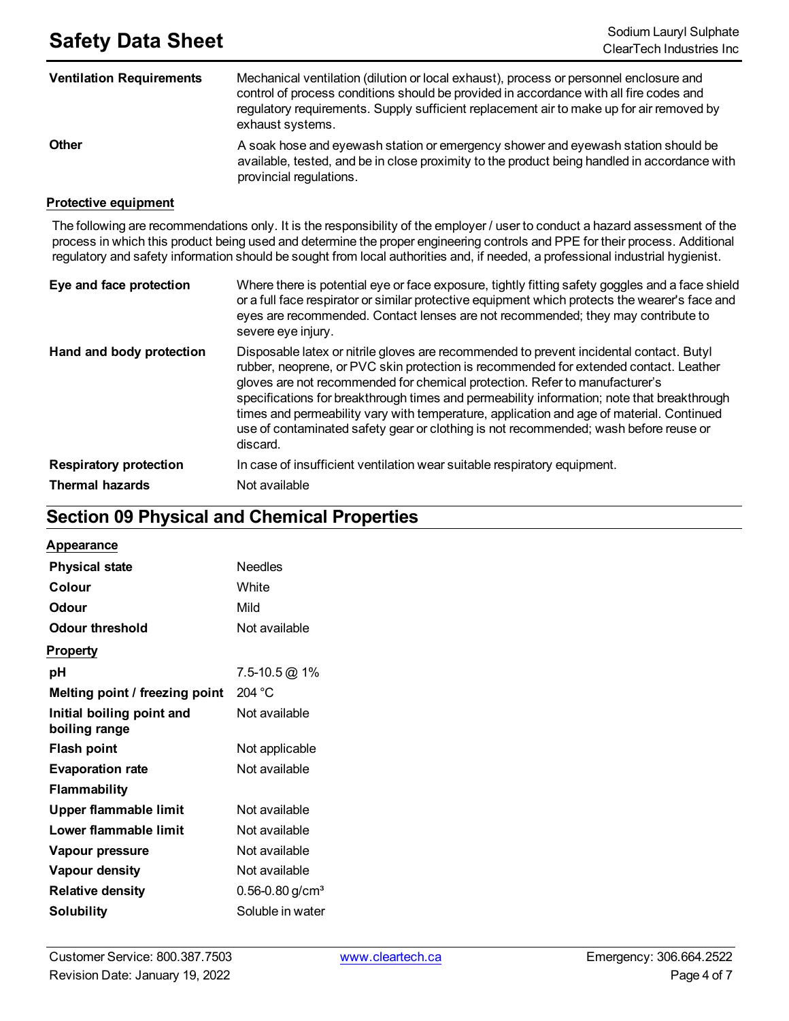| <b>Ventilation Requirements</b> | Mechanical ventilation (dilution or local exhaust), process or personnel enclosure and<br>control of process conditions should be provided in accordance with all fire codes and<br>regulatory requirements. Supply sufficient replacement air to make up for air removed by<br>exhaust systems. |
|---------------------------------|--------------------------------------------------------------------------------------------------------------------------------------------------------------------------------------------------------------------------------------------------------------------------------------------------|
| <b>Other</b>                    | A soak hose and eyewash station or emergency shower and eyewash station should be<br>available, tested, and be in close proximity to the product being handled in accordance with<br>provincial regulations.                                                                                     |

#### **Protective equipment**

The following are recommendations only. It is the responsibility of the employer / user to conduct a hazard assessment of the process in which this product being used and determine the proper engineering controls and PPE for their process. Additional regulatory and safety information should be sought from local authorities and, if needed, a professional industrial hygienist.

| Eye and face protection       | Where there is potential eye or face exposure, tightly fitting safety goggles and a face shield<br>or a full face respirator or similar protective equipment which protects the wearer's face and<br>eyes are recommended. Contact lenses are not recommended; they may contribute to<br>severe eye injury.                                                                                                                                                                                                                                                   |
|-------------------------------|---------------------------------------------------------------------------------------------------------------------------------------------------------------------------------------------------------------------------------------------------------------------------------------------------------------------------------------------------------------------------------------------------------------------------------------------------------------------------------------------------------------------------------------------------------------|
| Hand and body protection      | Disposable latex or nitrile gloves are recommended to prevent incidental contact. Butyl<br>rubber, neoprene, or PVC skin protection is recommended for extended contact. Leather<br>gloves are not recommended for chemical protection. Refer to manufacturer's<br>specifications for breakthrough times and permeability information; note that breakthrough<br>times and permeability vary with temperature, application and age of material. Continued<br>use of contaminated safety gear or clothing is not recommended; wash before reuse or<br>discard. |
| <b>Respiratory protection</b> | In case of insufficient ventilation wear suitable respiratory equipment.                                                                                                                                                                                                                                                                                                                                                                                                                                                                                      |
| <b>Thermal hazards</b>        | Not available                                                                                                                                                                                                                                                                                                                                                                                                                                                                                                                                                 |

### **Section 09 Physical and Chemical Properties**

| <b>Appearance</b> |
|-------------------|
|-------------------|

| <b>Physical state</b>                      | Needles                         |
|--------------------------------------------|---------------------------------|
| Colour                                     | White                           |
| Odour                                      | Mild                            |
| Odour threshold                            | Not available                   |
| <b>Property</b>                            |                                 |
| рH                                         | 7.5-10.5 @ 1%                   |
| Melting point / freezing point             | 204 °C                          |
| Initial boiling point and<br>boiling range | Not available                   |
| <b>Flash point</b>                         | Not applicable                  |
| <b>Evaporation rate</b>                    | Not available                   |
| <b>Flammability</b>                        |                                 |
| <b>Upper flammable limit</b>               | Not available                   |
| Lower flammable limit                      | Not available                   |
| Vapour pressure                            | Not available                   |
| Vapour density                             | Not available                   |
| <b>Relative density</b>                    | $0.56 - 0.80$ g/cm <sup>3</sup> |
| Solubility                                 | Soluble in water                |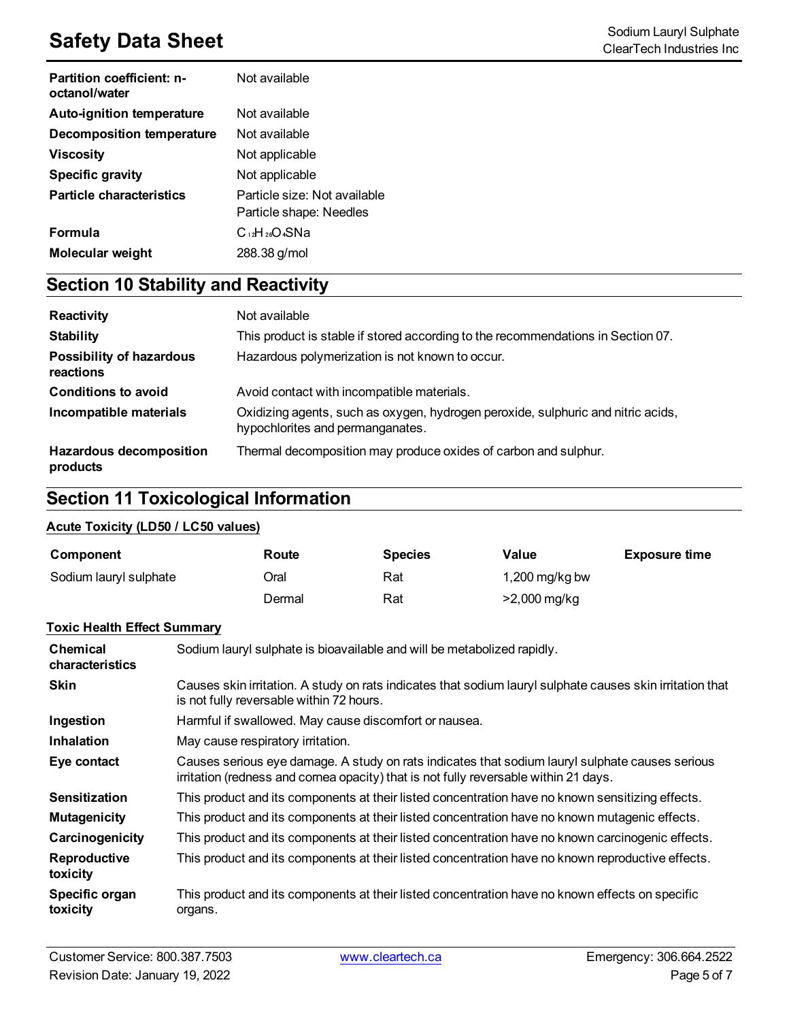## **Safety Data Sheet**<br>
Sodium Lauryl Sulphate<br>
ClearTech Industries Inc.

| <b>Partition coefficient: n-</b><br>octanol/water | Not available                |
|---------------------------------------------------|------------------------------|
| <b>Auto-ignition temperature</b>                  | Not available                |
| Decomposition temperature                         | Not available                |
| Viscosity                                         | Not applicable               |
| <b>Specific gravity</b>                           | Not applicable               |
| <b>Particle characteristics</b>                   | Particle size: Not available |
|                                                   | Particle shape: Needles      |
| <b>Formula</b>                                    | $C_{12}H_{26}O_4SNa$         |
| Molecular weight                                  | 288.38 g/mol                 |

## **Section 10 Stability and Reactivity**

| Reactivity                                   | Not available                                                                                                        |
|----------------------------------------------|----------------------------------------------------------------------------------------------------------------------|
| <b>Stability</b>                             | This product is stable if stored according to the recommendations in Section 07.                                     |
| <b>Possibility of hazardous</b><br>reactions | Hazardous polymerization is not known to occur.                                                                      |
| <b>Conditions to avoid</b>                   | Avoid contact with incompatible materials.                                                                           |
| Incompatible materials                       | Oxidizing agents, such as oxygen, hydrogen peroxide, sulphuric and nitric acids,<br>hypochlorites and permanganates. |
| <b>Hazardous decomposition</b><br>products   | Thermal decomposition may produce oxides of carbon and sulphur.                                                      |

### **Section 11 Toxicological Information**

### **Acute Toxicity (LD50 / LC50 values)**

| Component              | Route  | <b>Species</b> | Value          | <b>Exposure time</b> |
|------------------------|--------|----------------|----------------|----------------------|
| Sodium lauryl sulphate | Dral   | Rat            | 1,200 mg/kg bw |                      |
|                        | Dermal | Rat            | $>2,000$ mg/kg |                      |

### **Toxic Health Effect Summary**

| <b>Chemical</b><br>characteristics | Sodium lauryl sulphate is bioavailable and will be metabolized rapidly.                                                                                                                 |
|------------------------------------|-----------------------------------------------------------------------------------------------------------------------------------------------------------------------------------------|
| <b>Skin</b>                        | Causes skin irritation. A study on rats indicates that sodium lauryl sulphate causes skin irritation that<br>is not fully reversable within 72 hours.                                   |
| Ingestion                          | Harmful if swallowed. May cause discomfort or nausea.                                                                                                                                   |
| <b>Inhalation</b>                  | May cause respiratory irritation.                                                                                                                                                       |
| Eye contact                        | Causes serious eye damage. A study on rats indicates that sodium lauryl sulphate causes serious<br>irritation (redness and cornea opacity) that is not fully reversable within 21 days. |
| <b>Sensitization</b>               | This product and its components at their listed concentration have no known sensitizing effects.                                                                                        |
| <b>Mutagenicity</b>                | This product and its components at their listed concentration have no known mutagenic effects.                                                                                          |
| Carcinogenicity                    | This product and its components at their listed concentration have no known carcinogenic effects.                                                                                       |
| <b>Reproductive</b><br>toxicity    | This product and its components at their listed concentration have no known reproductive effects.                                                                                       |
| Specific organ<br>toxicity         | This product and its components at their listed concentration have no known effects on specific<br>organs.                                                                              |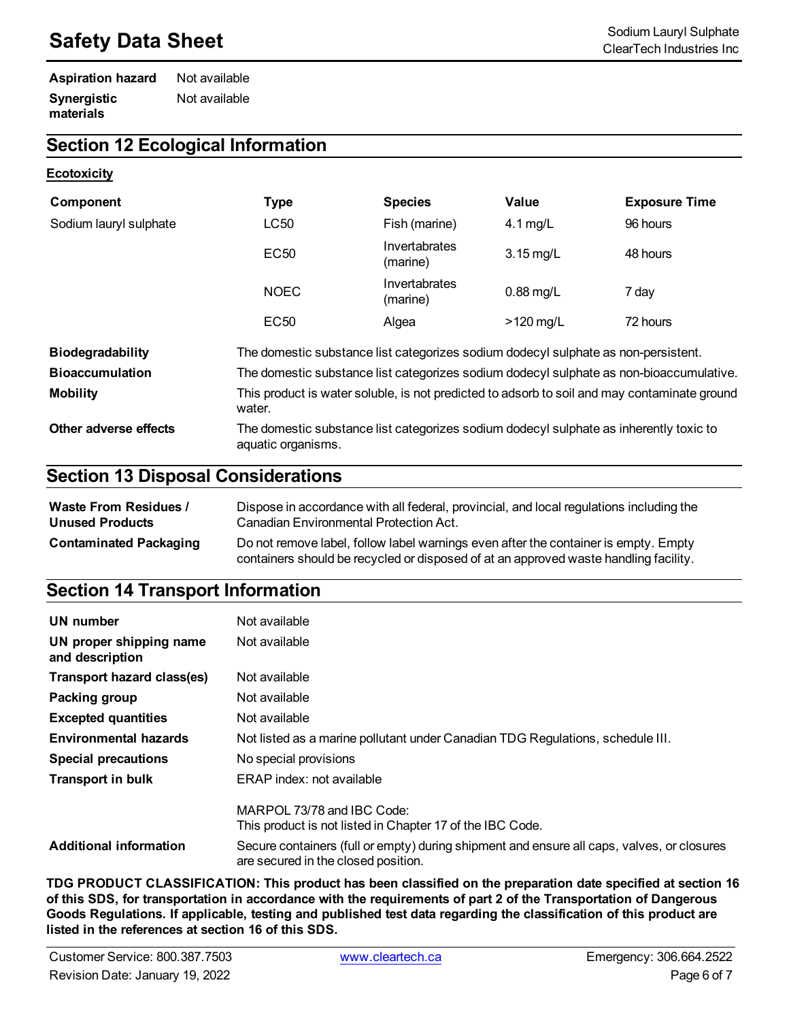## **Safety Data Sheet** Sodium Lauryl Sulphate Sodium Lauryl Sulphate Sodium Lauryl Sulphate Sodium Lauryl Sulphate

#### **Aspiration hazard** Not available **Synergistic materials** Not available

### **Section 12 Ecological Information**

#### **Ecotoxicity**

| Component               | <b>Type</b>                                                                                                  | <b>Species</b>            | Value       | <b>Exposure Time</b> |
|-------------------------|--------------------------------------------------------------------------------------------------------------|---------------------------|-------------|----------------------|
| Sodium lauryl sulphate  | <b>LC50</b>                                                                                                  | Fish (marine)             | $4.1$ mg/L  | 96 hours             |
|                         | <b>EC50</b>                                                                                                  | Invertabrates<br>(marine) | $3.15$ mg/L | 48 hours             |
|                         | <b>NOEC</b>                                                                                                  | Invertabrates<br>(marine) | $0.88$ mg/L | 7 day                |
|                         | <b>EC50</b>                                                                                                  | Algea                     | $>120$ mg/L | 72 hours             |
| <b>Biodegradability</b> | The domestic substance list categorizes sodium dodecyl sulphate as non-persistent.                           |                           |             |                      |
| <b>Bioaccumulation</b>  | The domestic substance list categorizes sodium dodecyl sulphate as non-bioaccumulative.                      |                           |             |                      |
| <b>Mobility</b>         | This product is water soluble, is not predicted to adsorb to soil and may contaminate ground<br>water.       |                           |             |                      |
| Other adverse effects   | The domestic substance list categorizes sodium dodecyl sulphate as inherently toxic to<br>aquatic organisms. |                           |             |                      |

### **Section 13 Disposal Considerations**

| <b>Waste From Residues /</b>  | Dispose in accordance with all federal, provincial, and local regulations including the                                                                                     |
|-------------------------------|-----------------------------------------------------------------------------------------------------------------------------------------------------------------------------|
| <b>Unused Products</b>        | Canadian Environmental Protection Act.                                                                                                                                      |
| <b>Contaminated Packaging</b> | Do not remove label, follow label warnings even after the container is empty. Empty<br>containers should be recycled or disposed of at an approved waste handling facility. |

### **Section 14 Transport Information**

| UN number                                  | Not available                                                                                                                     |
|--------------------------------------------|-----------------------------------------------------------------------------------------------------------------------------------|
| UN proper shipping name<br>and description | Not available                                                                                                                     |
| Transport hazard class(es)                 | Not available                                                                                                                     |
| Packing group                              | Not available                                                                                                                     |
| <b>Excepted quantities</b>                 | Not available                                                                                                                     |
| <b>Environmental hazards</b>               | Not listed as a marine pollutant under Canadian TDG Regulations, schedule III.                                                    |
| <b>Special precautions</b>                 | No special provisions                                                                                                             |
| <b>Transport in bulk</b>                   | ERAP index: not available                                                                                                         |
|                                            | MARPOL 73/78 and IBC Code:<br>This product is not listed in Chapter 17 of the IBC Code.                                           |
| <b>Additional information</b>              | Secure containers (full or empty) during shipment and ensure all caps, valves, or closures<br>are secured in the closed position. |

**TDG PRODUCT CLASSIFICATION: This product has been classified on the preparation date specified at section 16** of this SDS, for transportation in accordance with the requirements of part 2 of the Transportation of Dangerous Goods Regulations. If applicable, testing and published test data regarding the classification of this product are **listed in the references at section 16 of this SDS.**